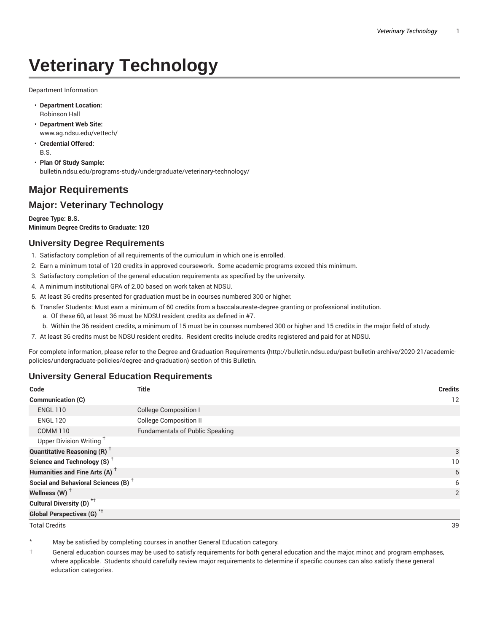# **Veterinary Technology**

Department Information

- **Department Location:** Robinson Hall
- **Department Web Site:** www.ag.ndsu.edu/vettech/
- **Credential Offered:** B.S.
- **Plan Of Study Sample:** bulletin.ndsu.edu/programs-study/undergraduate/veterinary-technology/

## **Major Requirements**

### **Major: Veterinary Technology**

**Degree Type: B.S. Minimum Degree Credits to Graduate: 120**

#### **University Degree Requirements**

- 1. Satisfactory completion of all requirements of the curriculum in which one is enrolled.
- 2. Earn a minimum total of 120 credits in approved coursework. Some academic programs exceed this minimum.
- 3. Satisfactory completion of the general education requirements as specified by the university.
- 4. A minimum institutional GPA of 2.00 based on work taken at NDSU.
- 5. At least 36 credits presented for graduation must be in courses numbered 300 or higher.
- 6. Transfer Students: Must earn a minimum of 60 credits from a baccalaureate-degree granting or professional institution.
	- a. Of these 60, at least 36 must be NDSU resident credits as defined in #7.
	- b. Within the 36 resident credits, a minimum of 15 must be in courses numbered 300 or higher and 15 credits in the major field of study.
- 7. At least 36 credits must be NDSU resident credits. Resident credits include credits registered and paid for at NDSU.

For complete information, please refer to the Degree and Graduation Requirements (http://bulletin.ndsu.edu/past-bulletin-archive/2020-21/academicpolicies/undergraduate-policies/degree-and-graduation) section of this Bulletin.

#### **University General Education Requirements**

| Code                                            | <b>Title</b>                           | <b>Credits</b> |
|-------------------------------------------------|----------------------------------------|----------------|
| <b>Communication (C)</b>                        |                                        | 12             |
| <b>ENGL 110</b>                                 | <b>College Composition I</b>           |                |
| <b>ENGL 120</b>                                 | <b>College Composition II</b>          |                |
| <b>COMM 110</b>                                 | <b>Fundamentals of Public Speaking</b> |                |
| Upper Division Writing <sup>+</sup>             |                                        |                |
| <b>Quantitative Reasoning (R)</b> <sup>†</sup>  |                                        | 3              |
| Science and Technology (S) <sup>+</sup>         |                                        | 10             |
| Humanities and Fine Arts (A) <sup>+</sup>       |                                        | 6              |
| Social and Behavioral Sciences (B) <sup>+</sup> |                                        | 6              |
| Wellness $(W)$ <sup>+</sup>                     |                                        | 2              |
| Cultural Diversity (D) <sup>*†</sup>            |                                        |                |
| <b>Global Perspectives (G)</b> * <sup>+</sup>   |                                        |                |

Total Credits 39

May be satisfied by completing courses in another General Education category.

† General education courses may be used to satisfy requirements for both general education and the major, minor, and program emphases, where applicable. Students should carefully review major requirements to determine if specific courses can also satisfy these general education categories.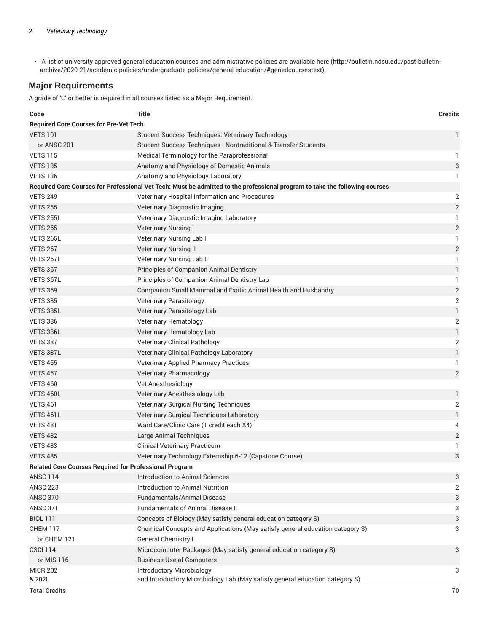• A list of university approved general education courses and administrative policies are available here (http://bulletin.ndsu.edu/past-bulletinarchive/2020-21/academic-policies/undergraduate-policies/general-education/#genedcoursestext).

#### **Major Requirements**

A grade of 'C' or better is required in all courses listed as a Major Requirement.

| Code                                                                                                                         | <b>Title</b>                                                                  | <b>Credits</b>            |  |
|------------------------------------------------------------------------------------------------------------------------------|-------------------------------------------------------------------------------|---------------------------|--|
| <b>Required Core Courses for Pre-Vet Tech</b>                                                                                |                                                                               |                           |  |
| <b>VETS 101</b>                                                                                                              | Student Success Techniques: Veterinary Technology                             | 1                         |  |
| or ANSC 201                                                                                                                  | Student Success Techniques - Nontraditional & Transfer Students               |                           |  |
| <b>VETS 115</b>                                                                                                              | Medical Terminology for the Paraprofessional                                  | 1                         |  |
| <b>VETS 135</b>                                                                                                              | Anatomy and Physiology of Domestic Animals                                    | $\ensuremath{\mathsf{3}}$ |  |
| <b>VETS 136</b>                                                                                                              | Anatomy and Physiology Laboratory                                             | 1                         |  |
| Required Core Courses for Professional Vet Tech: Must be admitted to the professional program to take the following courses. |                                                                               |                           |  |
| <b>VETS 249</b>                                                                                                              | Veterinary Hospital Information and Procedures                                | $\overline{2}$            |  |
| <b>VETS 255</b>                                                                                                              | Veterinary Diagnostic Imaging                                                 | $\overline{c}$            |  |
| <b>VETS 255L</b>                                                                                                             | Veterinary Diagnostic Imaging Laboratory                                      | 1                         |  |
| <b>VETS 265</b>                                                                                                              | <b>Veterinary Nursing I</b>                                                   | $\sqrt{2}$                |  |
| <b>VETS 265L</b>                                                                                                             | Veterinary Nursing Lab I                                                      | 1                         |  |
| <b>VETS 267</b>                                                                                                              | <b>Veterinary Nursing II</b>                                                  | $\sqrt{2}$                |  |
| VETS 267L                                                                                                                    | Veterinary Nursing Lab II                                                     | 1                         |  |
| <b>VETS 367</b>                                                                                                              | Principles of Companion Animal Dentistry                                      | 1                         |  |
| VETS 367L                                                                                                                    | Principles of Companion Animal Dentistry Lab                                  | 1                         |  |
| <b>VETS 369</b>                                                                                                              | Companion Small Mammal and Exotic Animal Health and Husbandry                 | $\overline{c}$            |  |
| <b>VETS 385</b>                                                                                                              | Veterinary Parasitology                                                       | $\overline{2}$            |  |
| VETS 385L                                                                                                                    | Veterinary Parasitology Lab                                                   | $\mathbf{1}$              |  |
| <b>VETS 386</b>                                                                                                              | Veterinary Hematology                                                         | $\mathbf{2}$              |  |
| VETS 386L                                                                                                                    | Veterinary Hematology Lab                                                     | $\mathbbm{1}$             |  |
| <b>VETS 387</b>                                                                                                              | <b>Veterinary Clinical Pathology</b>                                          | $\sqrt{2}$                |  |
| VETS 387L                                                                                                                    | Veterinary Clinical Pathology Laboratory                                      | $\mathbf{1}$              |  |
| <b>VETS 455</b>                                                                                                              | <b>Veterinary Applied Pharmacy Practices</b>                                  | 1                         |  |
| <b>VETS 457</b>                                                                                                              | <b>Veterinary Pharmacology</b>                                                | $\sqrt{2}$                |  |
| <b>VETS 460</b>                                                                                                              | Vet Anesthesiology                                                            |                           |  |
| VETS 460L                                                                                                                    | Veterinary Anesthesiology Lab                                                 | 1                         |  |
| <b>VETS 461</b>                                                                                                              | Veterinary Surgical Nursing Techniques                                        | $\mathbf 2$               |  |
| VETS 461L                                                                                                                    | Veterinary Surgical Techniques Laboratory                                     | $\mathbf{1}$              |  |
| <b>VETS 481</b>                                                                                                              | Ward Care/Clinic Care (1 credit each X4)                                      | 4                         |  |
| <b>VETS 482</b>                                                                                                              | Large Animal Techniques                                                       | $\overline{2}$            |  |
| <b>VETS 483</b>                                                                                                              | <b>Clinical Veterinary Practicum</b>                                          | 1                         |  |
| <b>VETS 485</b>                                                                                                              | Veterinary Technology Externship 6-12 (Capstone Course)                       | 3                         |  |
| <b>Related Core Courses Required for Professional Program</b>                                                                |                                                                               |                           |  |
| <b>ANSC 114</b>                                                                                                              | <b>Introduction to Animal Sciences</b>                                        | 3                         |  |
| <b>ANSC 223</b>                                                                                                              | Introduction to Animal Nutrition                                              | $\overline{2}$            |  |
| <b>ANSC 370</b>                                                                                                              | <b>Fundamentals/Animal Disease</b>                                            | 3                         |  |
| <b>ANSC 371</b>                                                                                                              | <b>Fundamentals of Animal Disease II</b>                                      | 3                         |  |
| <b>BIOL 111</b>                                                                                                              | Concepts of Biology (May satisfy general education category S)                | 3                         |  |
| CHEM 117                                                                                                                     | Chemical Concepts and Applications (May satisfy general education category S) | 3                         |  |
| or CHEM 121                                                                                                                  | General Chemistry I                                                           |                           |  |
| <b>CSCI 114</b>                                                                                                              | Microcomputer Packages (May satisfy general education category S)             | 3                         |  |
| or MIS 116                                                                                                                   | <b>Business Use of Computers</b>                                              |                           |  |
| <b>MICR 202</b>                                                                                                              | <b>Introductory Microbiology</b>                                              | 3                         |  |
| & 202L                                                                                                                       | and Introductory Microbiology Lab (May satisfy general education category S)  |                           |  |
| <b>Total Credits</b>                                                                                                         |                                                                               | 70                        |  |